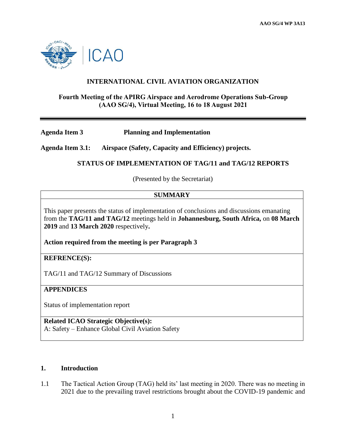

### **INTERNATIONAL CIVIL AVIATION ORGANIZATION**

### **Fourth Meeting of the APIRG Airspace and Aerodrome Operations Sub-Group (AAO SG/4), Virtual Meeting, 16 to 18 August 2021**

**Agenda Item 3 Planning and Implementation** 

**Agenda Item 3.1: Airspace (Safety, Capacity and Efficiency) projects.**

### **STATUS OF IMPLEMENTATION OF TAG/11 and TAG/12 REPORTS**

(Presented by the Secretariat)

### **SUMMARY**

This paper presents the status of implementation of conclusions and discussions emanating from the **TAG/11 and TAG/12** meetings held in **Johannesburg, South Africa,** on **08 March 2019** and **13 March 2020** respectively**.**

**Action required from the meeting is per Paragraph 3**

**REFRENCE(S):**

TAG/11 and TAG/12 Summary of Discussions

### **APPENDICES**

Status of implementation report

**Related ICAO Strategic Objective(s):** A: Safety – Enhance Global Civil Aviation Safety

**1. Introduction**

1.1 The Tactical Action Group (TAG) held its' last meeting in 2020. There was no meeting in 2021 due to the prevailing travel restrictions brought about the COVID-19 pandemic and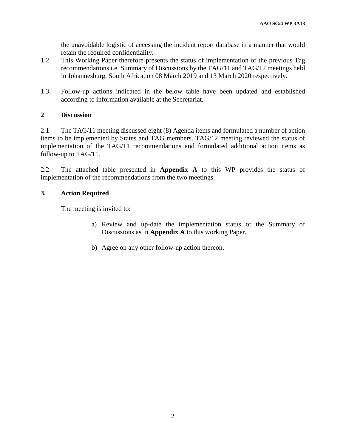the unavoidable logistic of accessing the incident report database in a manner that would retain the required confidentiality.

- 1.2 This Working Paper therefore presents the status of implementation of the previous Tag recommendations i.e. Summary of Discussions by the TAG/11 and TAG/12 meetings held in Johannesburg, South Africa, on 08 March 2019 and 13 March 2020 respectively.
- 1.3 Follow-up actions indicated in the below table have been updated and established according to information available at the Secretariat.

### **2 Discussion**

2.1 The TAG/11 meeting discussed eight (8) Agenda items and formulated a number of action items to be implemented by States and TAG members. TAG/12 meeting reviewed the status of implementation of the TAG/11 recommendations and formulated additional action items as follow-up to TAG/11.

2.2 The attached table presented in **Appendix A** to this WP provides the status of implementation of the recommendations from the two meetings.

### **3. Action Required**

The meeting is invited to:

- a) Review and up-date the implementation status of the Summary of Discussions as in **Appendix A** to this working Paper.
- b) Agree on any other follow-up action thereon.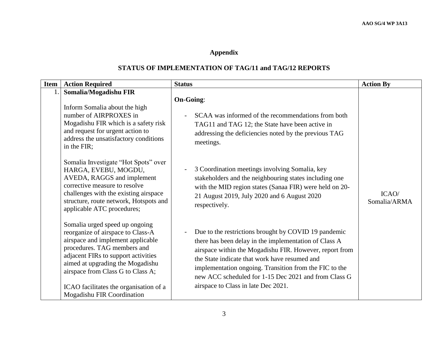# **Appendix**

## **STATUS OF IMPLEMENTATION OF TAG/11 and TAG/12 REPORTS**

| <b>Item</b> | <b>Action Required</b>                                                                                                                                                                                                                                                                                                          | <b>Status</b>                                                                                                                                                                                                                                                                                                                                                                                                  | <b>Action By</b>      |
|-------------|---------------------------------------------------------------------------------------------------------------------------------------------------------------------------------------------------------------------------------------------------------------------------------------------------------------------------------|----------------------------------------------------------------------------------------------------------------------------------------------------------------------------------------------------------------------------------------------------------------------------------------------------------------------------------------------------------------------------------------------------------------|-----------------------|
|             | Somalia/Mogadishu FIR<br>Inform Somalia about the high<br>number of AIRPROXES in<br>Mogadishu FIR which is a safety risk<br>and request for urgent action to<br>address the unsatisfactory conditions<br>in the FIR;                                                                                                            | <b>On-Going:</b><br>SCAA was informed of the recommendations from both<br>$\overline{\phantom{a}}$<br>TAG11 and TAG 12; the State have been active in<br>addressing the deficiencies noted by the previous TAG<br>meetings.                                                                                                                                                                                    |                       |
|             | Somalia Investigate "Hot Spots" over<br>HARGA, EVEBU, MOGDU,<br>AVEDA, RAGGS and implement<br>corrective measure to resolve<br>challenges with the existing airspace<br>structure, route network, Hotspots and<br>applicable ATC procedures;                                                                                    | 3 Coordination meetings involving Somalia, key<br>$\qquad \qquad -$<br>stakeholders and the neighbouring states including one<br>with the MID region states (Sanaa FIR) were held on 20-<br>21 August 2019, July 2020 and 6 August 2020<br>respectively.                                                                                                                                                       | ICAO/<br>Somalia/ARMA |
|             | Somalia urged speed up ongoing<br>reorganize of airspace to Class-A<br>airspace and implement applicable<br>procedures. TAG members and<br>adjacent FIRs to support activities<br>aimed at upgrading the Mogadishu<br>airspace from Class G to Class A;<br>ICAO facilitates the organisation of a<br>Mogadishu FIR Coordination | Due to the restrictions brought by COVID 19 pandemic<br>$\overline{\phantom{0}}$<br>there has been delay in the implementation of Class A<br>airspace within the Mogadishu FIR. However, report from<br>the State indicate that work have resumed and<br>implementation ongoing. Transition from the FIC to the<br>new ACC scheduled for 1-15 Dec 2021 and from Class G<br>airspace to Class in late Dec 2021. |                       |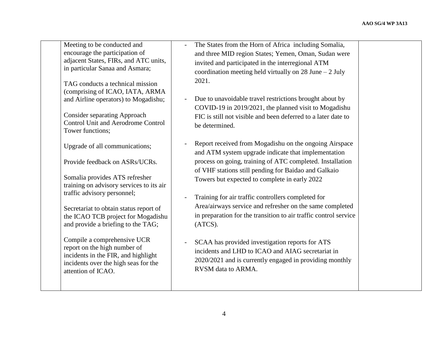| Meeting to be conducted and<br>encourage the participation of<br>adjacent States, FIRs, and ATC units,<br>in particular Sanaa and Asmara;<br>TAG conducts a technical mission<br>(comprising of ICAO, IATA, ARMA<br>and Airline operators) to Mogadishu;<br><b>Consider separating Approach</b><br><b>Control Unit and Aerodrome Control</b><br>Tower functions;                                                                                                        | The States from the Horn of Africa including Somalia,<br>and three MID region States; Yemen, Oman, Sudan were<br>invited and participated in the interregional ATM<br>coordination meeting held virtually on 28 June $-2$ July<br>2021.<br>Due to unavoidable travel restrictions brought about by<br>COVID-19 in 2019/2021, the planned visit to Mogadishu<br>FIC is still not visible and been deferred to a later date to<br>be determined.                                                                                                                                                                                                                                |  |
|-------------------------------------------------------------------------------------------------------------------------------------------------------------------------------------------------------------------------------------------------------------------------------------------------------------------------------------------------------------------------------------------------------------------------------------------------------------------------|-------------------------------------------------------------------------------------------------------------------------------------------------------------------------------------------------------------------------------------------------------------------------------------------------------------------------------------------------------------------------------------------------------------------------------------------------------------------------------------------------------------------------------------------------------------------------------------------------------------------------------------------------------------------------------|--|
| Upgrade of all communications;<br>Provide feedback on ASRs/UCRs.<br>Somalia provides ATS refresher<br>training on advisory services to its air<br>traffic advisory personnel;<br>Secretariat to obtain status report of<br>the ICAO TCB project for Mogadishu<br>and provide a briefing to the TAG;<br>Compile a comprehensive UCR<br>report on the high number of<br>incidents in the FIR, and highlight<br>incidents over the high seas for the<br>attention of ICAO. | Report received from Mogadishu on the ongoing Airspace<br>and ATM system upgrade indicate that implementation<br>process on going, training of ATC completed. Installation<br>of VHF stations still pending for Baidao and Galkaio<br>Towers but expected to complete in early 2022<br>Training for air traffic controllers completed for<br>Area/airways service and refresher on the same completed<br>in preparation for the transition to air traffic control service<br>(ATCS).<br>SCAA has provided investigation reports for ATS<br>incidents and LHD to ICAO and AIAG secretariat in<br>2020/2021 and is currently engaged in providing monthly<br>RVSM data to ARMA. |  |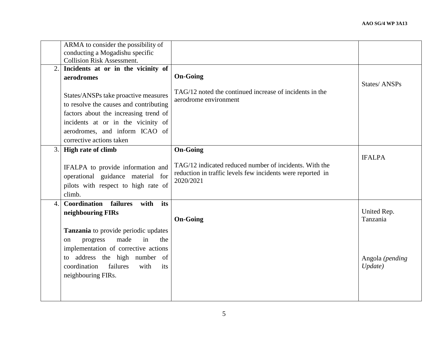|                  | ARMA to consider the possibility of<br>conducting a Mogadishu specific<br><b>Collision Risk Assessment.</b>                                                                                                                                                                              |                                                                                                                                                      |                                                       |
|------------------|------------------------------------------------------------------------------------------------------------------------------------------------------------------------------------------------------------------------------------------------------------------------------------------|------------------------------------------------------------------------------------------------------------------------------------------------------|-------------------------------------------------------|
| 2.               | Incidents at or in the vicinity of<br>aerodromes<br>States/ANSPs take proactive measures<br>to resolve the causes and contributing<br>factors about the increasing trend of<br>incidents at or in the vicinity of<br>aerodromes, and inform ICAO of<br>corrective actions taken          | <b>On-Going</b><br>TAG/12 noted the continued increase of incidents in the<br>aerodrome environment                                                  | States/ANSPs                                          |
| 3.1              | <b>High rate of climb</b><br>IFALPA to provide information and<br>operational guidance material for<br>pilots with respect to high rate of<br>climb.                                                                                                                                     | <b>On-Going</b><br>TAG/12 indicated reduced number of incidents. With the<br>reduction in traffic levels few incidents were reported in<br>2020/2021 | <b>IFALPA</b>                                         |
| $\overline{4}$ . | its<br>Coordination<br>failures<br>with<br>neighbouring FIRs<br>Tanzania to provide periodic updates<br>in<br>made<br>progress<br>the<br>on<br>implementation of corrective actions<br>address the high number of<br>to<br>coordination<br>failures<br>with<br>its<br>neighbouring FIRs. | <b>On-Going</b>                                                                                                                                      | United Rep.<br>Tanzania<br>Angola (pending<br>Update) |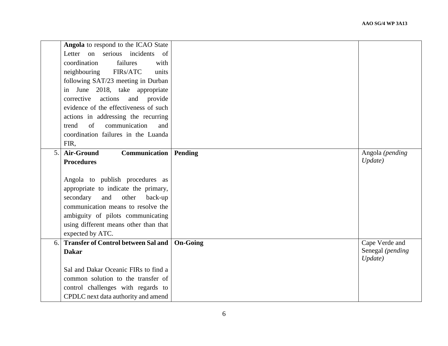|    | Angola to respond to the ICAO State             |                 |                             |
|----|-------------------------------------------------|-----------------|-----------------------------|
|    | serious incidents<br>Letter on<br><sub>of</sub> |                 |                             |
|    | failures<br>coordination<br>with                |                 |                             |
|    | neighbouring<br>FIRs/ATC<br>units               |                 |                             |
|    | following SAT/23 meeting in Durban              |                 |                             |
|    | June 2018, take appropriate<br>in               |                 |                             |
|    | corrective actions<br>and provide               |                 |                             |
|    | evidence of the effectiveness of such           |                 |                             |
|    | actions in addressing the recurring             |                 |                             |
|    | of<br>communication<br>trend<br>and             |                 |                             |
|    | coordination failures in the Luanda             |                 |                             |
|    | FIR,                                            |                 |                             |
| 5. | Communication<br><b>Air-Ground</b>              | Pending         | Angola (pending             |
|    | <b>Procedures</b>                               |                 | Update)                     |
|    |                                                 |                 |                             |
|    | Angola to publish procedures as                 |                 |                             |
|    | appropriate to indicate the primary,            |                 |                             |
|    | secondary<br>and<br>other<br>back-up            |                 |                             |
|    | communication means to resolve the              |                 |                             |
|    | ambiguity of pilots communicating               |                 |                             |
|    | using different means other than that           |                 |                             |
|    | expected by ATC.                                |                 |                             |
| 6. | <b>Transfer of Control between Sal and</b>      | <b>On-Going</b> | Cape Verde and              |
|    | <b>Dakar</b>                                    |                 | Senegal (pending<br>Update) |
|    | Sal and Dakar Oceanic FIRs to find a            |                 |                             |
|    | common solution to the transfer of              |                 |                             |
|    | control challenges with regards to              |                 |                             |
|    | CPDLC next data authority and amend             |                 |                             |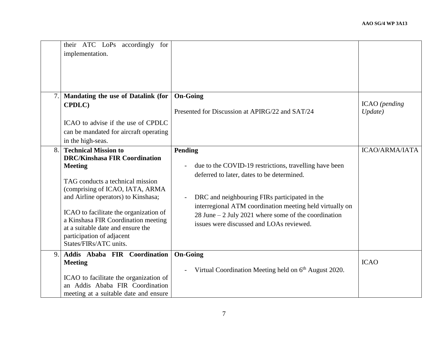|    | their ATC LoPs accordingly for<br>implementation.                                                                                                                                                                                                                                                                                                                                |                                                                                                                                                                                                                                                                                                                                    |                          |
|----|----------------------------------------------------------------------------------------------------------------------------------------------------------------------------------------------------------------------------------------------------------------------------------------------------------------------------------------------------------------------------------|------------------------------------------------------------------------------------------------------------------------------------------------------------------------------------------------------------------------------------------------------------------------------------------------------------------------------------|--------------------------|
| 7. | Mandating the use of Datalink (for<br>CPDLC)<br>ICAO to advise if the use of CPDLC<br>can be mandated for aircraft operating<br>in the high-seas.                                                                                                                                                                                                                                | <b>On-Going</b><br>Presented for Discussion at APIRG/22 and SAT/24                                                                                                                                                                                                                                                                 | ICAO (pending<br>Update) |
| 8. | <b>Technical Mission to</b><br><b>DRC/Kinshasa FIR Coordination</b><br><b>Meeting</b><br>TAG conducts a technical mission<br>(comprising of ICAO, IATA, ARMA<br>and Airline operators) to Kinshasa;<br>ICAO to facilitate the organization of<br>a Kinshasa FIR Coordination meeting<br>at a suitable date and ensure the<br>participation of adjacent<br>States/FIRs/ATC units. | Pending<br>due to the COVID-19 restrictions, travelling have been<br>deferred to later, dates to be determined.<br>DRC and neighbouring FIRs participated in the<br>interregional ATM coordination meeting held virtually on<br>28 June $-$ 2 July 2021 where some of the coordination<br>issues were discussed and LOAs reviewed. | <b>ICAO/ARMA/IATA</b>    |
| 9. | Addis Ababa FIR Coordination<br><b>Meeting</b><br>ICAO to facilitate the organization of<br>an Addis Ababa FIR Coordination<br>meeting at a suitable date and ensure                                                                                                                                                                                                             | <b>On-Going</b><br>Virtual Coordination Meeting held on $6th$ August 2020.<br>$\sim$                                                                                                                                                                                                                                               | <b>ICAO</b>              |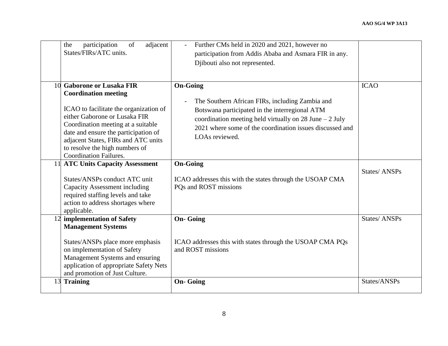|    | participation<br>of<br>adjacent<br>the<br>States/FIRs/ATC units.                                                                                                                                                                                                                                                                | Further CMs held in 2020 and 2021, however no<br>participation from Addis Ababa and Asmara FIR in any.<br>Djibouti also not represented.                                                                                                                                         |                     |
|----|---------------------------------------------------------------------------------------------------------------------------------------------------------------------------------------------------------------------------------------------------------------------------------------------------------------------------------|----------------------------------------------------------------------------------------------------------------------------------------------------------------------------------------------------------------------------------------------------------------------------------|---------------------|
| 10 | <b>Gaborone or Lusaka FIR</b><br><b>Coordination meeting</b><br>ICAO to facilitate the organization of<br>either Gaborone or Lusaka FIR<br>Coordination meeting at a suitable<br>date and ensure the participation of<br>adjacent States, FIRs and ATC units<br>to resolve the high numbers of<br><b>Coordination Failures.</b> | <b>On-Going</b><br>The Southern African FIRs, including Zambia and<br>$\overline{a}$<br>Botswana participated in the interregional ATM<br>coordination meeting held virtually on 28 June $-2$ July<br>2021 where some of the coordination issues discussed and<br>LOAs reviewed. | <b>ICAO</b>         |
|    | 11 ATC Units Capacity Assessment<br>States/ANSPs conduct ATC unit<br><b>Capacity Assessment including</b><br>required staffing levels and take<br>action to address shortages where<br>applicable.                                                                                                                              | <b>On-Going</b><br>ICAO addresses this with the states through the USOAP CMA<br>PQs and ROST missions                                                                                                                                                                            | States/ ANSPs       |
| 12 | implementation of Safety<br><b>Management Systems</b><br>States/ANSPs place more emphasis<br>on implementation of Safety<br>Management Systems and ensuring<br>application of appropriate Safety Nets<br>and promotion of Just Culture.                                                                                         | <b>On-Going</b><br>ICAO addresses this with states through the USOAP CMA PQs<br>and ROST missions                                                                                                                                                                                | <b>States/ANSPs</b> |
| 13 | <b>Training</b>                                                                                                                                                                                                                                                                                                                 | <b>On-Going</b>                                                                                                                                                                                                                                                                  | States/ANSPs        |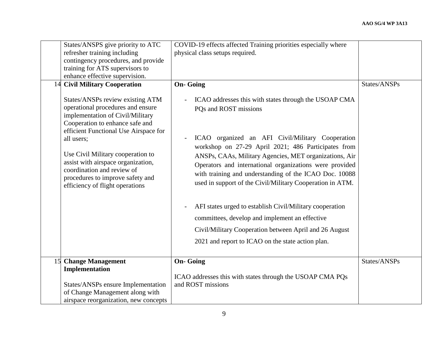|    | States/ANSPS give priority to ATC<br>refresher training including<br>contingency procedures, and provide<br>training for ATS supervisors to<br>enhance effective supervision.                                                                                                                                                                    | COVID-19 effects affected Training priorities especially where<br>physical class setups required.                                                                                                                                                                                                                                                                        |              |
|----|--------------------------------------------------------------------------------------------------------------------------------------------------------------------------------------------------------------------------------------------------------------------------------------------------------------------------------------------------|--------------------------------------------------------------------------------------------------------------------------------------------------------------------------------------------------------------------------------------------------------------------------------------------------------------------------------------------------------------------------|--------------|
|    | 14 Civil Military Cooperation                                                                                                                                                                                                                                                                                                                    | <b>On-Going</b>                                                                                                                                                                                                                                                                                                                                                          | States/ANSPs |
|    | States/ANSPs review existing ATM<br>operational procedures and ensure<br>implementation of Civil/Military<br>Cooperation to enhance safe and<br>efficient Functional Use Airspace for<br>all users;<br>Use Civil Military cooperation to<br>assist with airspace organization,<br>coordination and review of<br>procedures to improve safety and | ICAO addresses this with states through the USOAP CMA<br>PQs and ROST missions<br>ICAO organized an AFI Civil/Military Cooperation<br>workshop on 27-29 April 2021; 486 Participates from<br>ANSPs, CAAs, Military Agencies, MET organizations, Air<br>Operators and international organizations were provided<br>with training and understanding of the ICAO Doc. 10088 |              |
|    | efficiency of flight operations                                                                                                                                                                                                                                                                                                                  | used in support of the Civil/Military Cooperation in ATM.                                                                                                                                                                                                                                                                                                                |              |
|    |                                                                                                                                                                                                                                                                                                                                                  | AFI states urged to establish Civil/Military cooperation<br>committees, develop and implement an effective<br>Civil/Military Cooperation between April and 26 August<br>2021 and report to ICAO on the state action plan.                                                                                                                                                |              |
| 15 | <b>Change Management</b>                                                                                                                                                                                                                                                                                                                         | <b>On-Going</b>                                                                                                                                                                                                                                                                                                                                                          | States/ANSPs |
|    | Implementation<br>States/ANSPs ensure Implementation<br>of Change Management along with<br>airspace reorganization, new concepts                                                                                                                                                                                                                 | ICAO addresses this with states through the USOAP CMA PQs<br>and ROST missions                                                                                                                                                                                                                                                                                           |              |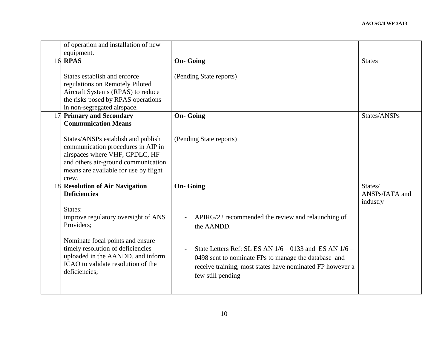|    | of operation and installation of new<br>equipment.                                                                                                                                                  |                                                                                                                                                                                                                        |                                       |
|----|-----------------------------------------------------------------------------------------------------------------------------------------------------------------------------------------------------|------------------------------------------------------------------------------------------------------------------------------------------------------------------------------------------------------------------------|---------------------------------------|
|    | <b>16 RPAS</b>                                                                                                                                                                                      | <b>On-Going</b>                                                                                                                                                                                                        | <b>States</b>                         |
|    | States establish and enforce<br>regulations on Remotely Piloted<br>Aircraft Systems (RPAS) to reduce<br>the risks posed by RPAS operations<br>in non-segregated airspace.                           | (Pending State reports)                                                                                                                                                                                                |                                       |
| 17 | <b>Primary and Secondary</b><br><b>Communication Means</b>                                                                                                                                          | <b>On-Going</b>                                                                                                                                                                                                        | States/ANSPs                          |
|    | States/ANSPs establish and publish<br>communication procedures in AIP in<br>airspaces where VHF, CPDLC, HF<br>and others air-ground communication<br>means are available for use by flight<br>crew. | (Pending State reports)                                                                                                                                                                                                |                                       |
|    | 18 Resolution of Air Navigation<br><b>Deficiencies</b>                                                                                                                                              | <b>On-Going</b>                                                                                                                                                                                                        | States/<br>ANSPs/IATA and<br>industry |
|    | States:<br>improve regulatory oversight of ANS<br>Providers;                                                                                                                                        | APIRG/22 recommended the review and relaunching of<br>the AANDD.                                                                                                                                                       |                                       |
|    | Nominate focal points and ensure<br>timely resolution of deficiencies<br>uploaded in the AANDD, and inform<br>ICAO to validate resolution of the<br>deficiencies;                                   | State Letters Ref: SL ES AN $1/6 - 0133$ and ES AN $1/6 -$<br>$\overline{a}$<br>0498 sent to nominate FPs to manage the database and<br>receive training; most states have nominated FP however a<br>few still pending |                                       |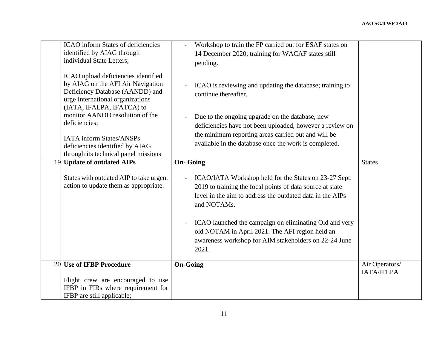| <b>ICAO</b> inform States of deficiencies<br>identified by AIAG through<br>individual State Letters;                                                                                                                                                                                                                                           | Workshop to train the FP carried out for ESAF states on<br>14 December 2020; training for WACAF states still<br>pending.                                                                                                                                                                                                                                                                        |                              |
|------------------------------------------------------------------------------------------------------------------------------------------------------------------------------------------------------------------------------------------------------------------------------------------------------------------------------------------------|-------------------------------------------------------------------------------------------------------------------------------------------------------------------------------------------------------------------------------------------------------------------------------------------------------------------------------------------------------------------------------------------------|------------------------------|
| ICAO upload deficiencies identified<br>by AIAG on the AFI Air Navigation<br>Deficiency Database (AANDD) and<br>urge International organizations<br>(IATA, IFALPA, IFATCA) to<br>monitor AANDD resolution of the<br>deficiencies;<br><b>IATA</b> inform States/ANSPs<br>deficiencies identified by AIAG<br>through its technical panel missions | ICAO is reviewing and updating the database; training to<br>$\overline{a}$<br>continue thereafter.<br>Due to the ongoing upgrade on the database, new<br>$\overline{a}$<br>deficiencies have not been uploaded, however a review on<br>the minimum reporting areas carried out and will be<br>available in the database once the work is completed.                                             |                              |
| <b>Update of outdated AIPs</b><br>19                                                                                                                                                                                                                                                                                                           | <b>On-Going</b>                                                                                                                                                                                                                                                                                                                                                                                 | <b>States</b>                |
| States with outdated AIP to take urgent<br>action to update them as appropriate.                                                                                                                                                                                                                                                               | ICAO/IATA Workshop held for the States on 23-27 Sept.<br>2019 to training the focal points of data source at state<br>level in the aim to address the outdated data in the AIPs<br>and NOTAMs.<br>ICAO launched the campaign on eliminating Old and very<br>$\overline{a}$<br>old NOTAM in April 2021. The AFI region held an<br>awareness workshop for AIM stakeholders on 22-24 June<br>2021. |                              |
| <b>Use of IFBP Procedure</b><br>20                                                                                                                                                                                                                                                                                                             | <b>On-Going</b>                                                                                                                                                                                                                                                                                                                                                                                 | Air Operators/<br>IATA/IFLPA |
| Flight crew are encouraged to use<br>IFBP in FIRs where requirement for<br>IFBP are still applicable;                                                                                                                                                                                                                                          |                                                                                                                                                                                                                                                                                                                                                                                                 |                              |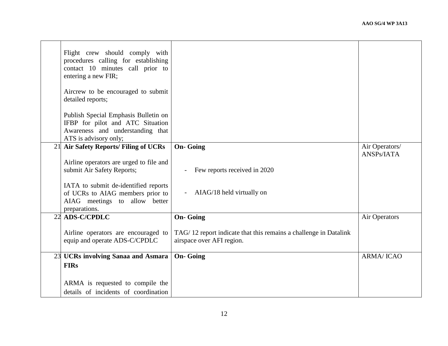|    | Flight crew should comply with<br>procedures calling for establishing<br>contact 10 minutes call prior to<br>entering a new FIR;<br>Aircrew to be encouraged to submit<br>detailed reports;<br>Publish Special Emphasis Bulletin on<br>IFBP for pilot and ATC Situation<br>Awareness and understanding that<br>ATS is advisory only; |                                                                                               |                              |
|----|--------------------------------------------------------------------------------------------------------------------------------------------------------------------------------------------------------------------------------------------------------------------------------------------------------------------------------------|-----------------------------------------------------------------------------------------------|------------------------------|
| 21 | Air Safety Reports/ Filing of UCRs                                                                                                                                                                                                                                                                                                   | <b>On-Going</b>                                                                               | Air Operators/<br>ANSPs/IATA |
|    | Airline operators are urged to file and<br>submit Air Safety Reports;<br>IATA to submit de-identified reports<br>of UCRs to AIAG members prior to<br>AIAG meetings to allow better<br>preparations.                                                                                                                                  | Few reports received in 2020<br>AIAG/18 held virtually on                                     |                              |
| 22 | <b>ADS-C/CPDLC</b>                                                                                                                                                                                                                                                                                                                   | <b>On-Going</b>                                                                               | Air Operators                |
|    | Airline operators are encouraged to<br>equip and operate ADS-C/CPDLC                                                                                                                                                                                                                                                                 | TAG/12 report indicate that this remains a challenge in Datalink<br>airspace over AFI region. |                              |
|    | 23 UCRs involving Sanaa and Asmara                                                                                                                                                                                                                                                                                                   | <b>On-Going</b>                                                                               | <b>ARMA/ICAO</b>             |
|    | <b>FIRs</b>                                                                                                                                                                                                                                                                                                                          |                                                                                               |                              |
|    | ARMA is requested to compile the<br>details of incidents of coordination                                                                                                                                                                                                                                                             |                                                                                               |                              |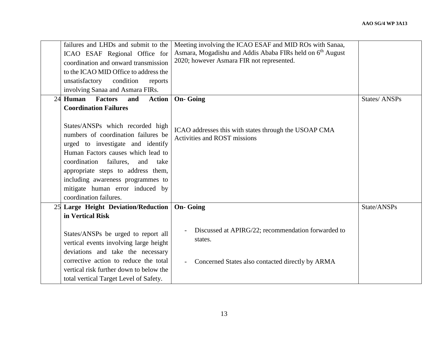|    | failures and LHDs and submit to the<br>ICAO ESAF Regional Office for<br>coordination and onward transmission<br>to the ICAO MID Office to address the<br>unsatisfactory condition<br>reports<br>involving Sanaa and Asmara FIRs.                                                                                                                                    | Meeting involving the ICAO ESAF and MID ROs with Sanaa,<br>Asmara, Mogadishu and Addis Ababa FIRs held on 6 <sup>th</sup> August<br>2020; however Asmara FIR not represented. |                     |
|----|---------------------------------------------------------------------------------------------------------------------------------------------------------------------------------------------------------------------------------------------------------------------------------------------------------------------------------------------------------------------|-------------------------------------------------------------------------------------------------------------------------------------------------------------------------------|---------------------|
| 24 | Human<br><b>Factors</b><br><b>Action</b><br>and                                                                                                                                                                                                                                                                                                                     | <b>On-Going</b>                                                                                                                                                               | <b>States/ANSPs</b> |
|    | <b>Coordination Failures</b><br>States/ANSPs which recorded high<br>numbers of coordination failures be<br>urged to investigate and identify<br>Human Factors causes which lead to<br>coordination failures,<br>and<br>take<br>appropriate steps to address them,<br>including awareness programmes to<br>mitigate human error induced by<br>coordination failures. | ICAO addresses this with states through the USOAP CMA<br><b>Activities and ROST missions</b>                                                                                  |                     |
|    | 25 Large Height Deviation/Reduction                                                                                                                                                                                                                                                                                                                                 | <b>On-Going</b>                                                                                                                                                               | State/ANSPs         |
|    | in Vertical Risk<br>States/ANSPs be urged to report all<br>vertical events involving large height<br>deviations and take the necessary<br>corrective action to reduce the total<br>vertical risk further down to below the<br>total vertical Target Level of Safety.                                                                                                | Discussed at APIRG/22; recommendation forwarded to<br>states.<br>Concerned States also contacted directly by ARMA<br>$\blacksquare$                                           |                     |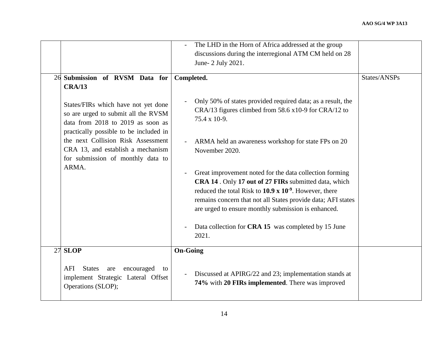|                                                                                                                                                                                                                                                                                                                                       | The LHD in the Horn of Africa addressed at the group<br>discussions during the interregional ATM CM held on 28<br>June- 2 July 2021.                                                                                                                                                                                                                                                                                                                                                                                                                                                                     |              |
|---------------------------------------------------------------------------------------------------------------------------------------------------------------------------------------------------------------------------------------------------------------------------------------------------------------------------------------|----------------------------------------------------------------------------------------------------------------------------------------------------------------------------------------------------------------------------------------------------------------------------------------------------------------------------------------------------------------------------------------------------------------------------------------------------------------------------------------------------------------------------------------------------------------------------------------------------------|--------------|
| 26 Submission of RVSM Data for<br><b>CRA/13</b><br>States/FIRs which have not yet done<br>so are urged to submit all the RVSM<br>data from 2018 to 2019 as soon as<br>practically possible to be included in<br>the next Collision Risk Assessment<br>CRA 13, and establish a mechanism<br>for submission of monthly data to<br>ARMA. | Completed.<br>Only 50% of states provided required data; as a result, the<br>CRA/13 figures climbed from 58.6 x10-9 for CRA/12 to<br>75.4 x 10-9.<br>ARMA held an awareness workshop for state FPs on 20<br>November 2020.<br>Great improvement noted for the data collection forming<br>CRA 14. Only 17 out of 27 FIRs submitted data, which<br>reduced the total Risk to $10.9 \times 10^{-9}$ . However, there<br>remains concern that not all States provide data; AFI states<br>are urged to ensure monthly submission is enhanced.<br>Data collection for CRA 15 was completed by 15 June<br>2021. | States/ANSPs |
| 27 SLOP<br>AFI<br><b>States</b><br>encouraged<br>are<br>to<br>implement Strategic Lateral Offset<br>Operations (SLOP);                                                                                                                                                                                                                | <b>On-Going</b><br>Discussed at APIRG/22 and 23; implementation stands at<br>$\overline{\phantom{a}}$<br>74% with 20 FIRs implemented. There was improved                                                                                                                                                                                                                                                                                                                                                                                                                                                |              |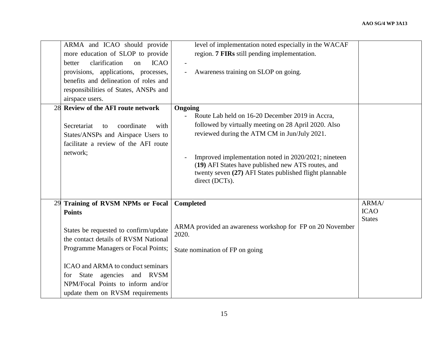|    | ARMA and ICAO should provide<br>more education of SLOP to provide<br>clarification<br><b>ICAO</b><br>better<br>on<br>provisions, applications, processes,<br>benefits and delineation of roles and<br>responsibilities of States, ANSPs and<br>airspace users.                                                                           | level of implementation noted especially in the WACAF<br>region. 7 FIRs still pending implementation.<br>Awareness training on SLOP on going.                                                                                                                                                                                                                 |                                       |
|----|------------------------------------------------------------------------------------------------------------------------------------------------------------------------------------------------------------------------------------------------------------------------------------------------------------------------------------------|---------------------------------------------------------------------------------------------------------------------------------------------------------------------------------------------------------------------------------------------------------------------------------------------------------------------------------------------------------------|---------------------------------------|
|    | 28 Review of the AFI route network<br>Secretariat<br>coordinate<br>with<br>to<br>States/ANSPs and Airspace Users to<br>facilitate a review of the AFI route<br>network;                                                                                                                                                                  | Ongoing<br>Route Lab held on 16-20 December 2019 in Accra.<br>followed by virtually meeting on 28 April 2020. Also<br>reviewed during the ATM CM in Jun/July 2021.<br>Improved implementation noted in 2020/2021; nineteen<br>(19) AFI States have published new ATS routes, and<br>twenty seven (27) AFI States published flight plannable<br>direct (DCTs). |                                       |
| 29 | <b>Training of RVSM NPMs or Focal</b><br><b>Points</b><br>States be requested to confirm/update<br>the contact details of RVSM National<br>Programme Managers or Focal Points;<br><b>ICAO</b> and ARMA to conduct seminars<br>State<br>agencies and RVSM<br>for<br>NPM/Focal Points to inform and/or<br>update them on RVSM requirements | <b>Completed</b><br>ARMA provided an awareness workshop for FP on 20 November<br>2020.<br>State nomination of FP on going                                                                                                                                                                                                                                     | ARMA/<br><b>ICAO</b><br><b>States</b> |